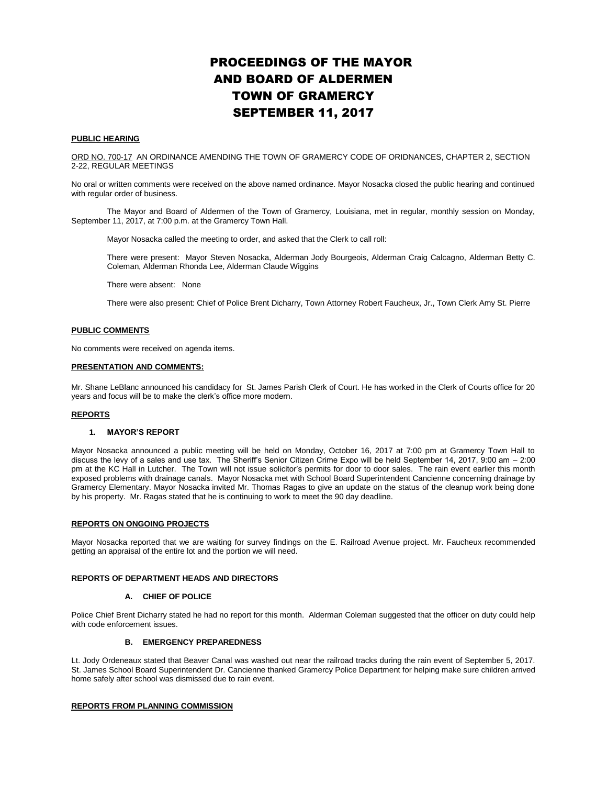# PROCEEDINGS OF THE MAYOR AND BOARD OF ALDERMEN TOWN OF GRAMERCY SEPTEMBER 11, 2017

#### **PUBLIC HEARING**

ORD NO. 700-17 AN ORDINANCE AMENDING THE TOWN OF GRAMERCY CODE OF ORIDNANCES, CHAPTER 2, SECTION 2-22, REGULAR MEETINGS

No oral or written comments were received on the above named ordinance. Mayor Nosacka closed the public hearing and continued with regular order of business.

The Mayor and Board of Aldermen of the Town of Gramercy, Louisiana, met in regular, monthly session on Monday, September 11, 2017, at 7:00 p.m. at the Gramercy Town Hall.

Mayor Nosacka called the meeting to order, and asked that the Clerk to call roll:

There were present: Mayor Steven Nosacka, Alderman Jody Bourgeois, Alderman Craig Calcagno, Alderman Betty C. Coleman, Alderman Rhonda Lee, Alderman Claude Wiggins

There were absent: None

There were also present: Chief of Police Brent Dicharry, Town Attorney Robert Faucheux, Jr., Town Clerk Amy St. Pierre

# **PUBLIC COMMENTS**

No comments were received on agenda items.

#### **PRESENTATION AND COMMENTS:**

Mr. Shane LeBlanc announced his candidacy for St. James Parish Clerk of Court. He has worked in the Clerk of Courts office for 20 years and focus will be to make the clerk's office more modern.

#### **REPORTS**

# **1. MAYOR'S REPORT**

Mayor Nosacka announced a public meeting will be held on Monday, October 16, 2017 at 7:00 pm at Gramercy Town Hall to discuss the levy of a sales and use tax. The Sheriff's Senior Citizen Crime Expo will be held September 14, 2017, 9:00 am – 2:00 pm at the KC Hall in Lutcher. The Town will not issue solicitor's permits for door to door sales. The rain event earlier this month exposed problems with drainage canals. Mayor Nosacka met with School Board Superintendent Cancienne concerning drainage by Gramercy Elementary. Mayor Nosacka invited Mr. Thomas Ragas to give an update on the status of the cleanup work being done by his property. Mr. Ragas stated that he is continuing to work to meet the 90 day deadline.

# **REPORTS ON ONGOING PROJECTS**

Mayor Nosacka reported that we are waiting for survey findings on the E. Railroad Avenue project. Mr. Faucheux recommended getting an appraisal of the entire lot and the portion we will need.

# **REPORTS OF DEPARTMENT HEADS AND DIRECTORS**

#### **A. CHIEF OF POLICE**

Police Chief Brent Dicharry stated he had no report for this month. Alderman Coleman suggested that the officer on duty could help with code enforcement issues.

# **B. EMERGENCY PREPAREDNESS**

Lt. Jody Ordeneaux stated that Beaver Canal was washed out near the railroad tracks during the rain event of September 5, 2017. St. James School Board Superintendent Dr. Cancienne thanked Gramercy Police Department for helping make sure children arrived home safely after school was dismissed due to rain event.

#### **REPORTS FROM PLANNING COMMISSION**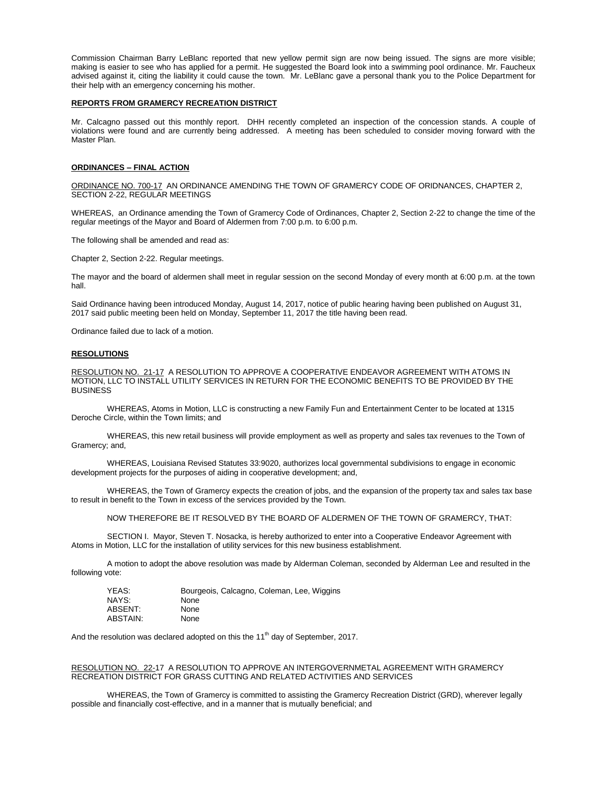Commission Chairman Barry LeBlanc reported that new yellow permit sign are now being issued. The signs are more visible; making is easier to see who has applied for a permit. He suggested the Board look into a swimming pool ordinance. Mr. Faucheux advised against it, citing the liability it could cause the town. Mr. LeBlanc gave a personal thank you to the Police Department for their help with an emergency concerning his mother.

# **REPORTS FROM GRAMERCY RECREATION DISTRICT**

Mr. Calcagno passed out this monthly report. DHH recently completed an inspection of the concession stands. A couple of violations were found and are currently being addressed. A meeting has been scheduled to consider moving forward with the Master Plan.

#### **ORDINANCES – FINAL ACTION**

ORDINANCE NO. 700-17 AN ORDINANCE AMENDING THE TOWN OF GRAMERCY CODE OF ORIDNANCES, CHAPTER 2, SECTION 2-22, REGULAR MEETINGS

WHEREAS, an Ordinance amending the Town of Gramercy Code of Ordinances, Chapter 2, Section 2-22 to change the time of the regular meetings of the Mayor and Board of Aldermen from 7:00 p.m. to 6:00 p.m.

The following shall be amended and read as:

Chapter 2, Section 2-22. Regular meetings.

The mayor and the board of aldermen shall meet in regular session on the second Monday of every month at 6:00 p.m. at the town hall.

Said Ordinance having been introduced Monday, August 14, 2017, notice of public hearing having been published on August 31, 2017 said public meeting been held on Monday, September 11, 2017 the title having been read.

Ordinance failed due to lack of a motion.

#### **RESOLUTIONS**

RESOLUTION NO. 21-17 A RESOLUTION TO APPROVE A COOPERATIVE ENDEAVOR AGREEMENT WITH ATOMS IN MOTION, LLC TO INSTALL UTILITY SERVICES IN RETURN FOR THE ECONOMIC BENEFITS TO BE PROVIDED BY THE BUSINESS

WHEREAS, Atoms in Motion, LLC is constructing a new Family Fun and Entertainment Center to be located at 1315 Deroche Circle, within the Town limits; and

WHEREAS, this new retail business will provide employment as well as property and sales tax revenues to the Town of Gramercy; and,

WHEREAS, Louisiana Revised Statutes 33:9020, authorizes local governmental subdivisions to engage in economic development projects for the purposes of aiding in cooperative development; and,

WHEREAS, the Town of Gramercy expects the creation of jobs, and the expansion of the property tax and sales tax base to result in benefit to the Town in excess of the services provided by the Town.

NOW THEREFORE BE IT RESOLVED BY THE BOARD OF ALDERMEN OF THE TOWN OF GRAMERCY, THAT:

SECTION I. Mayor, Steven T. Nosacka, is hereby authorized to enter into a Cooperative Endeavor Agreement with Atoms in Motion, LLC for the installation of utility services for this new business establishment.

A motion to adopt the above resolution was made by Alderman Coleman, seconded by Alderman Lee and resulted in the following vote:

| YEAS:    | Bourgeois, Calcagno, Coleman, Lee, Wiggins |
|----------|--------------------------------------------|
| NAYS:    | None                                       |
| ABSENT:  | None                                       |
| ABSTAIN: | None                                       |

And the resolution was declared adopted on this the  $11<sup>th</sup>$  day of September, 2017.

# RESOLUTION NO. 22-17 A RESOLUTION TO APPROVE AN INTERGOVERNMETAL AGREEMENT WITH GRAMERCY RECREATION DISTRICT FOR GRASS CUTTING AND RELATED ACTIVITIES AND SERVICES

WHEREAS, the Town of Gramercy is committed to assisting the Gramercy Recreation District (GRD), wherever legally possible and financially cost-effective, and in a manner that is mutually beneficial; and